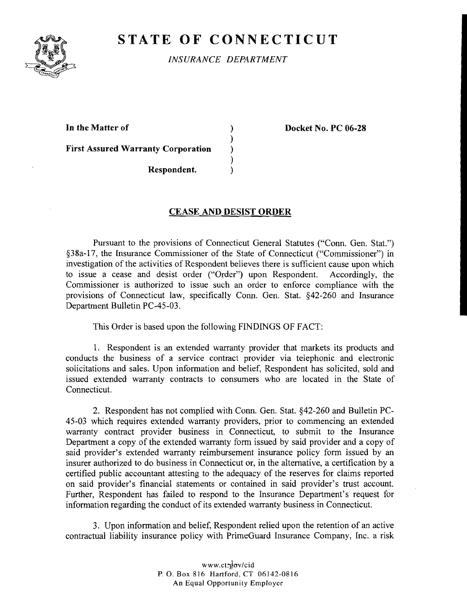

## **STATE OF CONNECTICUT**

*INSURANCE DEPARTMENT* 

**In the Matter of** )

**First Assured Warranty Corporation** )

**Docket No. PC 06-28** 

**Respondent.** 

## **CEASE AND DESIST ORDER**

)<br>)

**1** 

Pursuant to the provisions of Connecticut General Statutes ("Conn. Gen. Stat.") \$38a-17, the Insurance Commissioner of the State of Connecticut ("Commissioner") in investigation of the activities of Respondent believes there is sufficient cause upon which to issue a cease and desist order ("Order") upon Respondent. Accordingly, the Commissioner is authorized to issue such an order to enforce compliance with the provisions of Connecticut law, specifically Conn. Gen. Stat. \$42-260 and Insurance Department Bulletin PC-45-03.

This Order is based upon the following FINDINGS OF FACT:

1. Respondent is an extended warranty provider that markets its products and conducts the business of a service contract provider via telephonic and electronic solicitations and sales. Upon information and belief, Respondent has solicited, sold and issued extended warranty contracts to consumers who are located in the State of Connecticut.

2. Respondent has not complied with Conn. Gen. Stat. \$42-260 and Bulletin PC-45-03 which requires extended warranty providers, prior to commencing an extended warranty contract provider business in Connecticut, to submit to the Insurance Department a copy of the extended warranty form issued by said provider and a copy of said provider's extended warranty reimbursement insurance policy form issued by an insurer authorized to do business in Connecticut or, in the alternative, a certification by a certified public accountant attesting to the adequacy of the reserves for claims reported on said provider's financial statements or contained in said provider's trust account. Further, Respondent has failed to respond to the Insurance Department's request for information regarding the conduct of its extended warranty business in Connecticut.

3. Upon information and belief, Respondent relied upon the retention of an active contractual liability insurance policy with PrimeGuard Insurance Company, Inc. a risk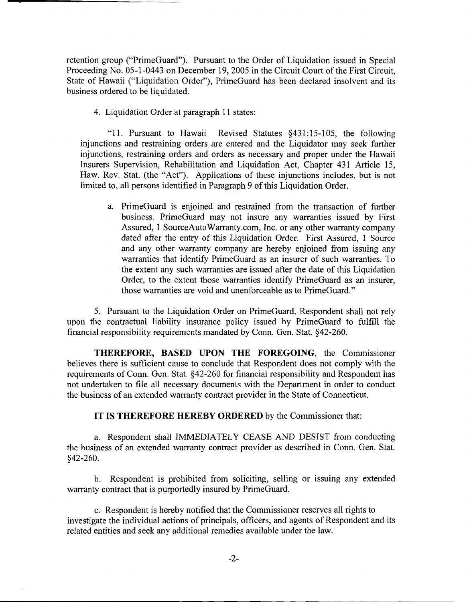retention group ("PrimeGuard"). Pursuant to the Order of Liquidation issued in Special Proceeding No. 05-1-0443 on December 19,2005 in the Circuit Court of the First Circuit, State of Hawaii ("Liquidation Order"), PrimeGuard has been declared insolvent and its business ordered to be liquidated.

4. Liquidation Order at paragraph 11 states:

"11. Pursuant to Hawaii Revised Statutes §431:15-105, the following injunctions and restraining orders are entered and the Liquidator may seek further injunctions, restraining orders and orders as necessary and proper under the Hawaii Insurers Supervision, Rehabilitation and Liquidation Act, Chapter 431 Article 15, Haw. Rev. Stat. (the "Act"). Applications of these injunctions includes, but is not limited to, all persons identified in Paragraph 9 of this Liquidation Order.

a. PrimeGuard is enjoined and restrained from the transaction of further business. PrimeGuard may not insure any warranties issued by First Assured, 1 SourceAutoWarranty.com, Inc. or any other warranty company dated after the entry of this Liquidation Order. First Assured, 1 Source and any other warranty company are hereby enjoined from issuing any warranties that identify PrimeGuard as an insurer of such warranties. To the extent any such warranties are issued after the date of this Liquidation Order, to the extent those warranties identify PrimeGuard as an insurer, those warranties are void and unenforceable as to PrimeGuard."

5. Pursuant to the Liquidation Order on PrimeGuard, Respondent shall not rely upon the contractual liability insurance policy issued by PrimeGuard to fulfill the financial responsibility requirements mandated by Conn. Gen. Stat. \$42-260.

THEREFORE, BASED UPON THE FOREGOING, the Commissioner believes there is sufficient cause to conclude that Respondent does not comply with the requirements of Conn. Gen. Stat. \$42-260 for financial responsibility and Respondent has not undertaken to file all necessary documents with the Department in order to conduct the business of an extended warranty contract provider in the State of Connecticut.

IT IS THEREFORE HEREBY ORDERED by the Commissioner that:

a. Respondent shall IMMEDIATELY CEASE AND DESIST from conducting the business of an extended warranty contract provider as described in Conn. Gen. Stat. \$42-260.

b. Respondent is prohibited from soliciting, selling or issuing any extended warranty contract that is purportedly insured by PrimeGuard.

c. Respondent is hereby notified that the Commissioner reserves all rights to investigate the individual actions of principals, officers, and agents of Respondent and its related entities and seek any additional remedies available under the law.